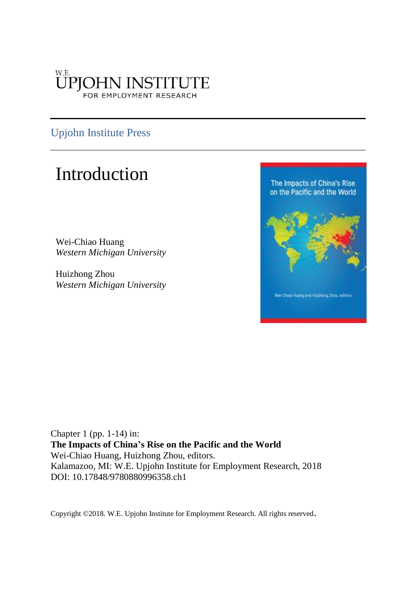### **ÜPJOHN INSTITUTE** FOR EMPLOYMENT RESEARCH

### Upjohn Institute Press

## Introduction

Wei-Chiao Huang *Western Michigan University*

Huizhong Zhou *Western Michigan University*



Chapter 1 (pp. 1-14) in: **The Impacts of China's Rise on the Pacific and the World** Wei-Chiao Huang, Huizhong Zhou, editors. Kalamazoo, MI: W.E. Upjohn Institute for Employment Research, 2018 DOI: 10.17848/9780880996358.ch1

Copyright ©2018. W.E. Upjohn Institute for Employment Research. All rights reserved.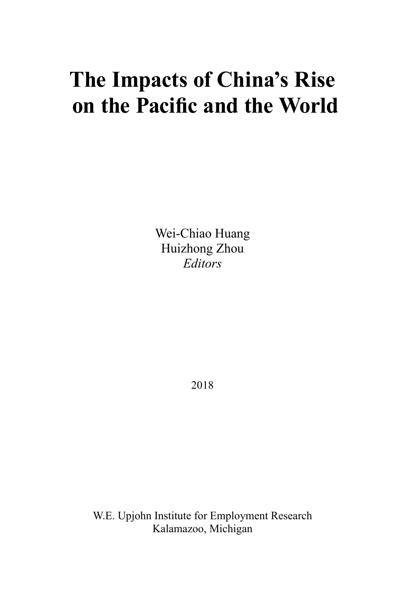# **The Impacts of China's Rise on the Pacific and the World**

Wei-Chiao Huang Huizhong Zhou *Editors*

2018

W.E. Upjohn Institute for Employment Research Kalamazoo, Michigan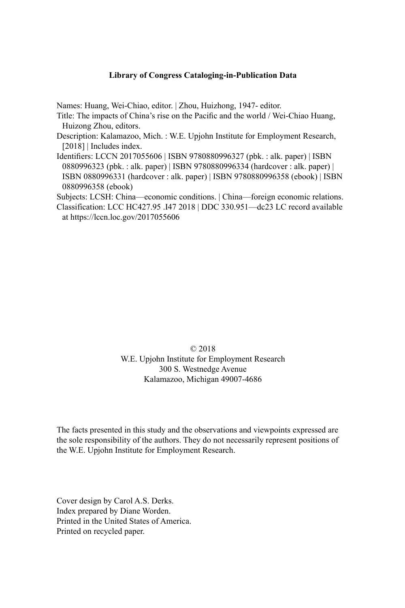#### **Library of Congress Cataloging-in-Publication Data**

Names: Huang, Wei-Chiao, editor. | Zhou, Huizhong, 1947- editor.

- Title: The impacts of China's rise on the Pacific and the world / Wei-Chiao Huang, Huizong Zhou, editors.
- Description: Kalamazoo, Mich. : W.E. Upjohn Institute for Employment Research, [2018] | Includes index.
- Identifiers: LCCN 2017055606 | ISBN 9780880996327 (pbk. : alk. paper) | ISBN 0880996323 (pbk. : alk. paper) | ISBN 9780880996334 (hardcover : alk. paper) | ISBN 0880996331 (hardcover : alk. paper) | ISBN 9780880996358 (ebook) | ISBN 0880996358 (ebook)

Subjects: LCSH: China—economic conditions. | China—foreign economic relations. Classification: LCC HC427.95 .I47 2018 | DDC 330.951—dc23 LC record available at https://lccn.loc.gov/2017055606

### © 2018 W.E. Upjohn Institute for Employment Research 300 S. Westnedge Avenue Kalamazoo, Michigan 49007-4686

The facts presented in this study and the observations and viewpoints expressed are the sole responsibility of the authors. They do not necessarily represent positions of the W.E. Upjohn Institute for Employment Research.

Cover design by Carol A.S. Derks. Index prepared by Diane Worden. Printed in the United States of America. Printed on recycled paper.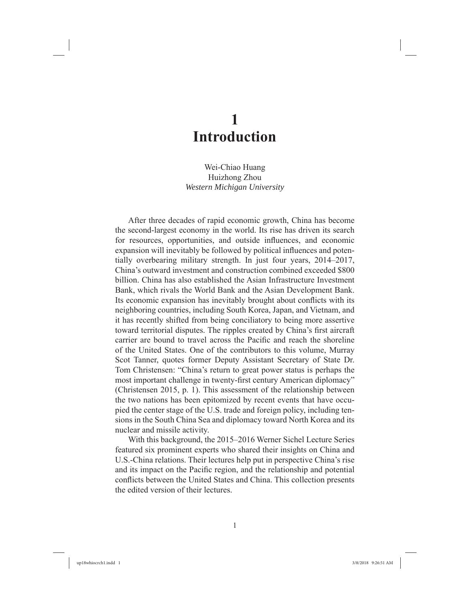### **1 Introduction**

Wei-Chiao Huang Huizhong Zhou *Western Michigan University*

After three decades of rapid economic growth, China has become the second-largest economy in the world. Its rise has driven its search for resources, opportunities, and outside influences, and economic expansion will inevitably be followed by political influences and potentially overbearing military strength. In just four years, 2014–2017, China's outward investment and construction combined exceeded \$800 billion. China has also established the Asian Infrastructure Investment Bank, which rivals the World Bank and the Asian Development Bank. Its economic expansion has inevitably brought about conflicts with its neighboring countries, including South Korea, Japan, and Vietnam, and it has recently shifted from being conciliatory to being more assertive toward territorial disputes. The ripples created by China's first aircraft carrier are bound to travel across the Pacific and reach the shoreline of the United States. One of the contributors to this volume, Murray Scot Tanner, quotes former Deputy Assistant Secretary of State Dr. Tom Christensen: "China's return to great power status is perhaps the most important challenge in twenty-first century American diplomacy" (Christensen 2015, p. 1). This assessment of the relationship between the two nations has been epitomized by recent events that have occupied the center stage of the U.S. trade and foreign policy, including tensions in the South China Sea and diplomacy toward North Korea and its nuclear and missile activity.

With this background, the 2015–2016 Werner Sichel Lecture Series featured six prominent experts who shared their insights on China and U.S.-China relations. Their lectures help put in perspective China's rise and its impact on the Pacific region, and the relationship and potential conflicts between the United States and China. This collection presents the edited version of their lectures.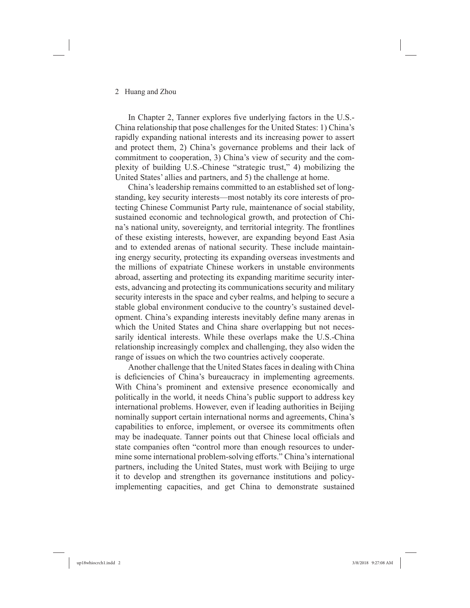### 2 Huang and Zhou

In Chapter 2, Tanner explores five underlying factors in the U.S.-China relationship that pose challenges for the United States: 1) China's rapidly expanding national interests and its increasing power to assert and protect them, 2) China's governance problems and their lack of commitment to cooperation, 3) China's view of security and the complexity of building U.S.-Chinese "strategic trust," 4) mobilizing the United States' allies and partners, and 5) the challenge at home.

China's leadership remains committed to an established set of longstanding, key security interests—most notably its core interests of protecting Chinese Communist Party rule, maintenance of social stability, sustained economic and technological growth, and protection of China's national unity, sovereignty, and territorial integrity. The frontlines of these existing interests, however, are expanding beyond East Asia and to extended arenas of national security. These include maintaining energy security, protecting its expanding overseas investments and the millions of expatriate Chinese workers in unstable environments abroad, asserting and protecting its expanding maritime security interests, advancing and protecting its communications security and military security interests in the space and cyber realms, and helping to secure a stable global environment conducive to the country's sustained development. China's expanding interests inevitably define many arenas in which the United States and China share overlapping but not necessarily identical interests. While these overlaps make the U.S.-China relationship increasingly complex and challenging, they also widen the range of issues on which the two countries actively cooperate.

Another challenge that the United States faces in dealing with China is deficiencies of China's bureaucracy in implementing agreements. With China's prominent and extensive presence economically and politically in the world, it needs China's public support to address key international problems. However, even if leading authorities in Beijing nominally support certain international norms and agreements, China's capabilities to enforce, implement, or oversee its commitments often may be inadequate. Tanner points out that Chinese local officials and state companies often "control more than enough resources to undermine some international problem-solving efforts." China's international partners, including the United States, must work with Beijing to urge it to develop and strengthen its governance institutions and policyimplementing capacities, and get China to demonstrate sustained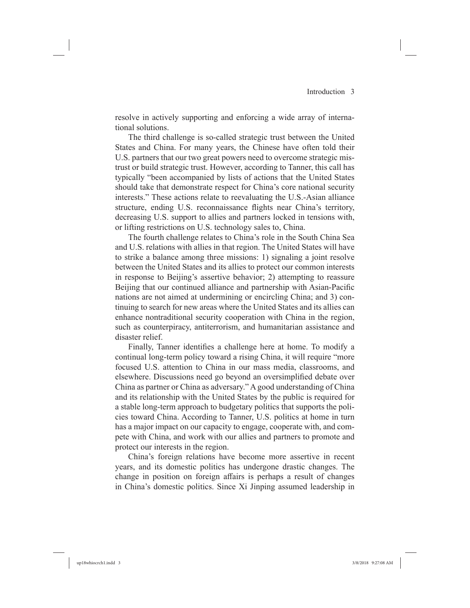resolve in actively supporting and enforcing a wide array of international solutions.

The third challenge is so-called strategic trust between the United States and China. For many years, the Chinese have often told their U.S. partners that our two great powers need to overcome strategic mistrust or build strategic trust. However, according to Tanner, this call has typically "been accompanied by lists of actions that the United States should take that demonstrate respect for China's core national security interests." These actions relate to reevaluating the U.S.-Asian alliance structure, ending U.S. reconnaissance flights near China's territory, decreasing U.S. support to allies and partners locked in tensions with, or lifting restrictions on U.S. technology sales to, China.

The fourth challenge relates to China's role in the South China Sea and U.S. relations with allies in that region. The United States will have to strike a balance among three missions: 1) signaling a joint resolve between the United States and its allies to protect our common interests in response to Beijing's assertive behavior; 2) attempting to reassure Beijing that our continued alliance and partnership with Asian-Pacific nations are not aimed at undermining or encircling China; and 3) continuing to search for new areas where the United States and its allies can enhance nontraditional security cooperation with China in the region, such as counterpiracy, antiterrorism, and humanitarian assistance and disaster relief.

Finally, Tanner identifies a challenge here at home. To modify a continual long-term policy toward a rising China, it will require "more focused U.S. attention to China in our mass media, classrooms, and elsewhere. Discussions need go beyond an oversimplified debate over China as partner or China as adversary." A good understanding of China and its relationship with the United States by the public is required for a stable long-term approach to budgetary politics that supports the policies toward China. According to Tanner, U.S. politics at home in turn has a major impact on our capacity to engage, cooperate with, and compete with China, and work with our allies and partners to promote and protect our interests in the region.

China's foreign relations have become more assertive in recent years, and its domestic politics has undergone drastic changes. The change in position on foreign affairs is perhaps a result of changes in China's domestic politics. Since Xi Jinping assumed leadership in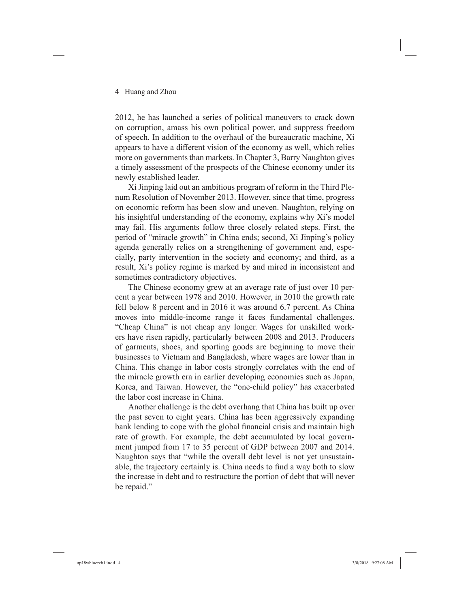2012, he has launched a series of political maneuvers to crack down on corruption, amass his own political power, and suppress freedom of speech. In addition to the overhaul of the bureaucratic machine, Xi appears to have a different vision of the economy as well, which relies more on governments than markets. In Chapter 3, Barry Naughton gives a timely assessment of the prospects of the Chinese economy under its newly established leader.

Xi Jinping laid out an ambitious program of reform in the Third Plenum Resolution of November 2013. However, since that time, progress on economic reform has been slow and uneven. Naughton, relying on his insightful understanding of the economy, explains why Xi's model may fail. His arguments follow three closely related steps. First, the period of "miracle growth" in China ends; second, Xi Jinping's policy agenda generally relies on a strengthening of government and, especially, party intervention in the society and economy; and third, as a result, Xi's policy regime is marked by and mired in inconsistent and sometimes contradictory objectives.

The Chinese economy grew at an average rate of just over 10 percent a year between 1978 and 2010. However, in 2010 the growth rate fell below 8 percent and in 2016 it was around 6.7 percent. As China moves into middle-income range it faces fundamental challenges. "Cheap China" is not cheap any longer. Wages for unskilled workers have risen rapidly, particularly between 2008 and 2013. Producers of garments, shoes, and sporting goods are beginning to move their businesses to Vietnam and Bangladesh, where wages are lower than in China. This change in labor costs strongly correlates with the end of the miracle growth era in earlier developing economies such as Japan, Korea, and Taiwan. However, the "one-child policy" has exacerbated the labor cost increase in China.

Another challenge is the debt overhang that China has built up over the past seven to eight years. China has been aggressively expanding bank lending to cope with the global financial crisis and maintain high rate of growth. For example, the debt accumulated by local government jumped from 17 to 35 percent of GDP between 2007 and 2014. Naughton says that "while the overall debt level is not yet unsustainable, the trajectory certainly is. China needs to find a way both to slow the increase in debt and to restructure the portion of debt that will never be repaid."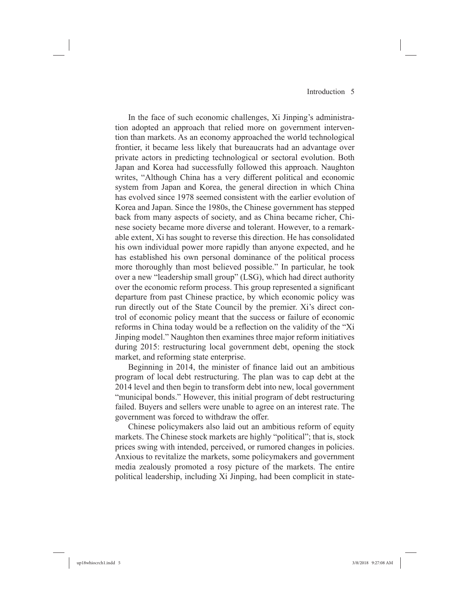In the face of such economic challenges, Xi Jinping's administration adopted an approach that relied more on government intervention than markets. As an economy approached the world technological frontier, it became less likely that bureaucrats had an advantage over private actors in predicting technological or sectoral evolution. Both Japan and Korea had successfully followed this approach. Naughton writes, "Although China has a very different political and economic system from Japan and Korea, the general direction in which China has evolved since 1978 seemed consistent with the earlier evolution of Korea and Japan. Since the 1980s, the Chinese government has stepped back from many aspects of society, and as China became richer, Chinese society became more diverse and tolerant. However, to a remarkable extent, Xi has sought to reverse this direction. He has consolidated his own individual power more rapidly than anyone expected, and he has established his own personal dominance of the political process more thoroughly than most believed possible." In particular, he took over a new "leadership small group" (LSG), which had direct authority over the economic reform process. This group represented a significant departure from past Chinese practice, by which economic policy was run directly out of the State Council by the premier. Xi's direct control of economic policy meant that the success or failure of economic reforms in China today would be a reflection on the validity of the "Xi Jinping model." Naughton then examines three major reform initiatives during 2015: restructuring local government debt, opening the stock market, and reforming state enterprise.

Beginning in 2014, the minister of finance laid out an ambitious program of local debt restructuring. The plan was to cap debt at the 2014 level and then begin to transform debt into new, local government "municipal bonds." However, this initial program of debt restructuring failed. Buyers and sellers were unable to agree on an interest rate. The government was forced to withdraw the offer.

Chinese policymakers also laid out an ambitious reform of equity markets. The Chinese stock markets are highly "political"; that is, stock prices swing with intended, perceived, or rumored changes in policies. Anxious to revitalize the markets, some policymakers and government media zealously promoted a rosy picture of the markets. The entire political leadership, including Xi Jinping, had been complicit in state-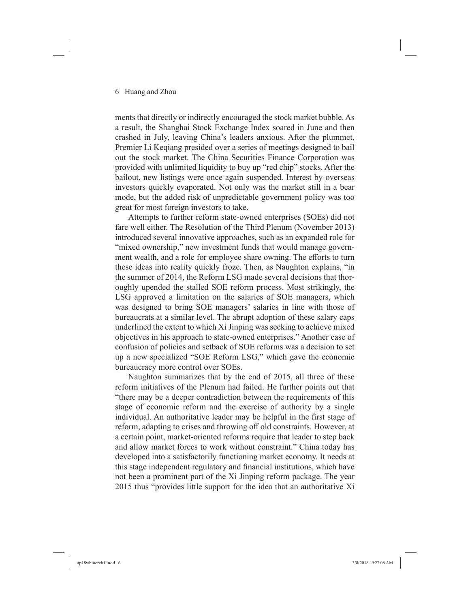ments that directly or indirectly encouraged the stock market bubble. As a result, the Shanghai Stock Exchange Index soared in June and then crashed in July, leaving China's leaders anxious. After the plummet, Premier Li Keqiang presided over a series of meetings designed to bail out the stock market. The China Securities Finance Corporation was provided with unlimited liquidity to buy up "red chip" stocks. After the bailout, new listings were once again suspended. Interest by overseas investors quickly evaporated. Not only was the market still in a bear mode, but the added risk of unpredictable government policy was too great for most foreign investors to take.

Attempts to further reform state-owned enterprises (SOEs) did not fare well either. The Resolution of the Third Plenum (November 2013) introduced several innovative approaches, such as an expanded role for "mixed ownership," new investment funds that would manage government wealth, and a role for employee share owning. The efforts to turn these ideas into reality quickly froze. Then, as Naughton explains, "in the summer of 2014, the Reform LSG made several decisions that thoroughly upended the stalled SOE reform process. Most strikingly, the LSG approved a limitation on the salaries of SOE managers, which was designed to bring SOE managers' salaries in line with those of bureaucrats at a similar level. The abrupt adoption of these salary caps underlined the extent to which Xi Jinping was seeking to achieve mixed objectives in his approach to state-owned enterprises." Another case of confusion of policies and setback of SOE reforms was a decision to set up a new specialized "SOE Reform LSG," which gave the economic bureaucracy more control over SOEs.

Naughton summarizes that by the end of 2015, all three of these reform initiatives of the Plenum had failed. He further points out that "there may be a deeper contradiction between the requirements of this stage of economic reform and the exercise of authority by a single individual. An authoritative leader may be helpful in the first stage of reform, adapting to crises and throwing off old constraints. However, at a certain point, market-oriented reforms require that leader to step back and allow market forces to work without constraint." China today has developed into a satisfactorily functioning market economy. It needs at this stage independent regulatory and financial institutions, which have not been a prominent part of the Xi Jinping reform package. The year 2015 thus "provides little support for the idea that an authoritative Xi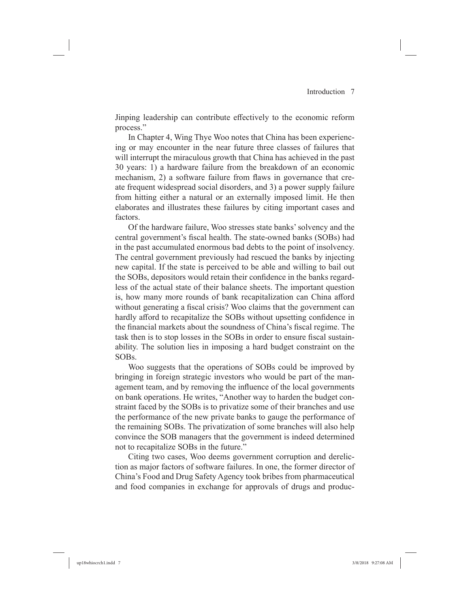Jinping leadership can contribute effectively to the economic reform process."

In Chapter 4, Wing Thye Woo notes that China has been experiencing or may encounter in the near future three classes of failures that will interrupt the miraculous growth that China has achieved in the past 30 years: 1) a hardware failure from the breakdown of an economic mechanism, 2) a software failure from flaws in governance that create frequent widespread social disorders, and 3) a power supply failure from hitting either a natural or an externally imposed limit. He then elaborates and illustrates these failures by citing important cases and factors.

Of the hardware failure, Woo stresses state banks' solvency and the central government's fiscal health. The state-owned banks (SOBs) had in the past accumulated enormous bad debts to the point of insolvency. The central government previously had rescued the banks by injecting new capital. If the state is perceived to be able and willing to bail out the SOBs, depositors would retain their confidence in the banks regardless of the actual state of their balance sheets. The important question is, how many more rounds of bank recapitalization can China afford without generating a fiscal crisis? Woo claims that the government can hardly afford to recapitalize the SOBs without upsetting confidence in the financial markets about the soundness of China's fiscal regime. The task then is to stop losses in the SOBs in order to ensure fiscal sustainability. The solution lies in imposing a hard budget constraint on the SOBs.

Woo suggests that the operations of SOBs could be improved by bringing in foreign strategic investors who would be part of the management team, and by removing the influence of the local governments on bank operations. He writes, "Another way to harden the budget constraint faced by the SOBs is to privatize some of their branches and use the performance of the new private banks to gauge the performance of the remaining SOBs. The privatization of some branches will also help convince the SOB managers that the government is indeed determined not to recapitalize SOBs in the future."

Citing two cases, Woo deems government corruption and dereliction as major factors of software failures. In one, the former director of China's Food and Drug Safety Agency took bribes from pharmaceutical and food companies in exchange for approvals of drugs and produc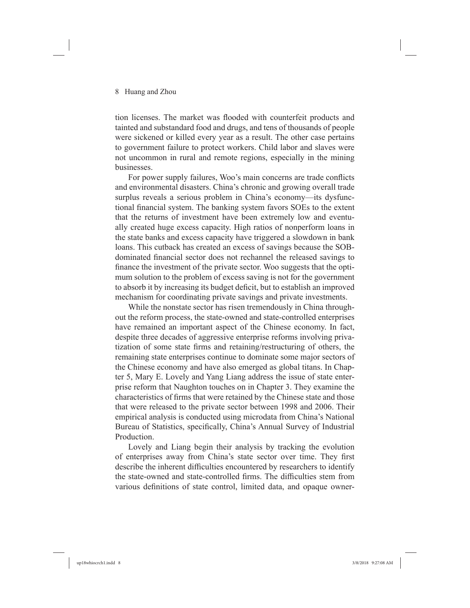tion licenses. The market was flooded with counterfeit products and tainted and substandard food and drugs, and tens of thousands of people were sickened or killed every year as a result. The other case pertains to government failure to protect workers. Child labor and slaves were not uncommon in rural and remote regions, especially in the mining businesses.

For power supply failures, Woo's main concerns are trade conflicts and environmental disasters. China's chronic and growing overall trade surplus reveals a serious problem in China's economy—its dysfunctional financial system. The banking system favors SOEs to the extent that the returns of investment have been extremely low and eventually created huge excess capacity. High ratios of nonperform loans in the state banks and excess capacity have triggered a slowdown in bank loans. This cutback has created an excess of savings because the SOBdominated financial sector does not rechannel the released savings to finance the investment of the private sector. Woo suggests that the optimum solution to the problem of excess saving is not for the government to absorb it by increasing its budget deficit, but to establish an improved mechanism for coordinating private savings and private investments.

While the nonstate sector has risen tremendously in China throughout the reform process, the state-owned and state-controlled enterprises have remained an important aspect of the Chinese economy. In fact, despite three decades of aggressive enterprise reforms involving privatization of some state firms and retaining/restructuring of others, the remaining state enterprises continue to dominate some major sectors of the Chinese economy and have also emerged as global titans. In Chapter 5, Mary E. Lovely and Yang Liang address the issue of state enterprise reform that Naughton touches on in Chapter 3. They examine the characteristics of firms that were retained by the Chinese state and those that were released to the private sector between 1998 and 2006. Their empirical analysis is conducted using microdata from China's National Bureau of Statistics, specifically, China's Annual Survey of Industrial Production.

Lovely and Liang begin their analysis by tracking the evolution of enterprises away from China's state sector over time. They first describe the inherent difficulties encountered by researchers to identify the state-owned and state-controlled firms. The difficulties stem from various definitions of state control, limited data, and opaque owner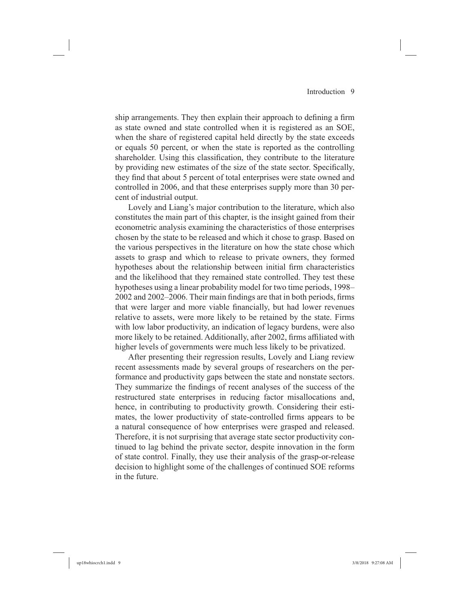ship arrangements. They then explain their approach to defining a firm as state owned and state controlled when it is registered as an SOE, when the share of registered capital held directly by the state exceeds or equals 50 percent, or when the state is reported as the controlling shareholder. Using this classification, they contribute to the literature by providing new estimates of the size of the state sector. Specifically, they find that about 5 percent of total enterprises were state owned and controlled in 2006, and that these enterprises supply more than 30 percent of industrial output.

Lovely and Liang's major contribution to the literature, which also constitutes the main part of this chapter, is the insight gained from their econometric analysis examining the characteristics of those enterprises chosen by the state to be released and which it chose to grasp. Based on the various perspectives in the literature on how the state chose which assets to grasp and which to release to private owners, they formed hypotheses about the relationship between initial firm characteristics and the likelihood that they remained state controlled. They test these hypotheses using a linear probability model for two time periods, 1998–  $2002$  and  $2002-2006$ . Their main findings are that in both periods, firms that were larger and more viable financially, but had lower revenues relative to assets, were more likely to be retained by the state. Firms with low labor productivity, an indication of legacy burdens, were also more likely to be retained. Additionally, after 2002, firms affiliated with higher levels of governments were much less likely to be privatized.

After presenting their regression results, Lovely and Liang review recent assessments made by several groups of researchers on the performance and productivity gaps between the state and nonstate sectors. They summarize the findings of recent analyses of the success of the restructured state enterprises in reducing factor misallocations and, hence, in contributing to productivity growth. Considering their estimates, the lower productivity of state-controlled firms appears to be a natural consequence of how enterprises were grasped and released. Therefore, it is not surprising that average state sector productivity continued to lag behind the private sector, despite innovation in the form of state control. Finally, they use their analysis of the grasp-or-release decision to highlight some of the challenges of continued SOE reforms in the future.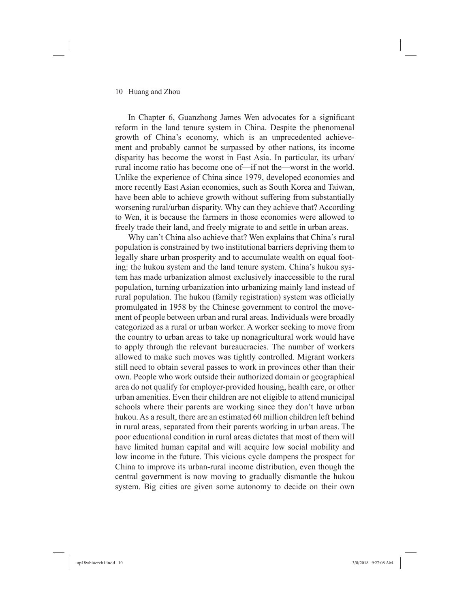#### 10 Huang and Zhou

In Chapter 6, Guanzhong James Wen advocates for a significant reform in the land tenure system in China. Despite the phenomenal growth of China's economy, which is an unprecedented achievement and probably cannot be surpassed by other nations, its income disparity has become the worst in East Asia. In particular, its urban/ rural income ratio has become one of—if not the—worst in the world. Unlike the experience of China since 1979, developed economies and more recently East Asian economies, such as South Korea and Taiwan, have been able to achieve growth without suffering from substantially worsening rural/urban disparity. Why can they achieve that? According to Wen, it is because the farmers in those economies were allowed to freely trade their land, and freely migrate to and settle in urban areas.

Why can't China also achieve that? Wen explains that China's rural population is constrained by two institutional barriers depriving them to legally share urban prosperity and to accumulate wealth on equal footing: the hukou system and the land tenure system. China's hukou system has made urbanization almost exclusively inaccessible to the rural population, turning urbanization into urbanizing mainly land instead of rural population. The hukou (family registration) system was officially promulgated in 1958 by the Chinese government to control the movement of people between urban and rural areas. Individuals were broadly categorized as a rural or urban worker. A worker seeking to move from the country to urban areas to take up nonagricultural work would have to apply through the relevant bureaucracies. The number of workers allowed to make such moves was tightly controlled. Migrant workers still need to obtain several passes to work in provinces other than their own. People who work outside their authorized domain or geographical area do not qualify for employer-provided housing, health care, or other urban amenities. Even their children are not eligible to attend municipal schools where their parents are working since they don't have urban hukou. As a result, there are an estimated 60 million children left behind in rural areas, separated from their parents working in urban areas. The poor educational condition in rural areas dictates that most of them will have limited human capital and will acquire low social mobility and low income in the future. This vicious cycle dampens the prospect for China to improve its urban-rural income distribution, even though the central government is now moving to gradually dismantle the hukou system. Big cities are given some autonomy to decide on their own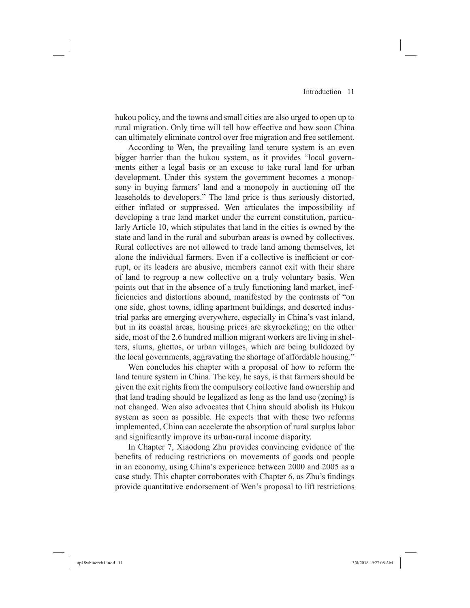hukou policy, and the towns and small cities are also urged to open up to rural migration. Only time will tell how effective and how soon China can ultimately eliminate control over free migration and free settlement.

According to Wen, the prevailing land tenure system is an even bigger barrier than the hukou system, as it provides "local governments either a legal basis or an excuse to take rural land for urban development. Under this system the government becomes a monopsony in buying farmers' land and a monopoly in auctioning off the leaseholds to developers." The land price is thus seriously distorted, either inflated or suppressed. Wen articulates the impossibility of developing a true land market under the current constitution, particularly Article 10, which stipulates that land in the cities is owned by the state and land in the rural and suburban areas is owned by collectives. Rural collectives are not allowed to trade land among themselves, let alone the individual farmers. Even if a collective is inefficient or corrupt, or its leaders are abusive, members cannot exit with their share of land to regroup a new collective on a truly voluntary basis. Wen points out that in the absence of a truly functioning land market, inefficiencies and distortions abound, manifested by the contrasts of "on one side, ghost towns, idling apartment buildings, and deserted industrial parks are emerging everywhere, especially in China's vast inland, but in its coastal areas, housing prices are skyrocketing; on the other side, most of the 2.6 hundred million migrant workers are living in shelters, slums, ghettos, or urban villages, which are being bulldozed by the local governments, aggravating the shortage of affordable housing."

Wen concludes his chapter with a proposal of how to reform the land tenure system in China. The key, he says, is that farmers should be given the exit rights from the compulsory collective land ownership and that land trading should be legalized as long as the land use (zoning) is not changed. Wen also advocates that China should abolish its Hukou system as soon as possible. He expects that with these two reforms implemented, China can accelerate the absorption of rural surplus labor and significantly improve its urban-rural income disparity.

In Chapter 7, Xiaodong Zhu provides convincing evidence of the benefits of reducing restrictions on movements of goods and people in an economy, using China's experience between 2000 and 2005 as a case study. This chapter corroborates with Chapter 6, as Zhu's findings provide quantitative endorsement of Wen's proposal to lift restrictions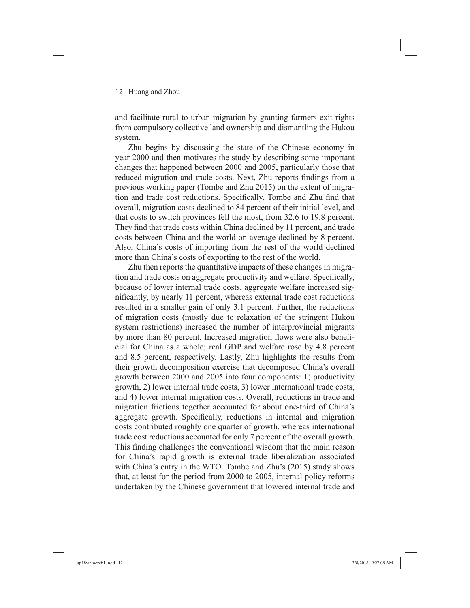and facilitate rural to urban migration by granting farmers exit rights from compulsory collective land ownership and dismantling the Hukou system.

Zhu begins by discussing the state of the Chinese economy in year 2000 and then motivates the study by describing some important changes that happened between 2000 and 2005, particularly those that reduced migration and trade costs. Next, Zhu reports findings from a previous working paper (Tombe and Zhu 2015) on the extent of migration and trade cost reductions. Specifically, Tombe and Zhu find that overall, migration costs declined to 84 percent of their initial level, and that costs to switch provinces fell the most, from 32.6 to 19.8 percent. They find that trade costs within China declined by 11 percent, and trade costs between China and the world on average declined by 8 percent. Also, China's costs of importing from the rest of the world declined more than China's costs of exporting to the rest of the world.

Zhu then reports the quantitative impacts of these changes in migration and trade costs on aggregate productivity and welfare. Specifically, because of lower internal trade costs, aggregate welfare increased significantly, by nearly 11 percent, whereas external trade cost reductions resulted in a smaller gain of only 3.1 percent. Further, the reductions of migration costs (mostly due to relaxation of the stringent Hukou system restrictions) increased the number of interprovincial migrants by more than 80 percent. Increased migration flows were also beneficial for China as a whole; real GDP and welfare rose by 4.8 percent and 8.5 percent, respectively. Lastly, Zhu highlights the results from their growth decomposition exercise that decomposed China's overall growth between 2000 and 2005 into four components: 1) productivity growth, 2) lower internal trade costs, 3) lower international trade costs, and 4) lower internal migration costs. Overall, reductions in trade and migration frictions together accounted for about one-third of China's aggregate growth. Specifically, reductions in internal and migration costs contributed roughly one quarter of growth, whereas international trade cost reductions accounted for only 7 percent of the overall growth. This finding challenges the conventional wisdom that the main reason for China's rapid growth is external trade liberalization associated with China's entry in the WTO. Tombe and Zhu's (2015) study shows that, at least for the period from 2000 to 2005, internal policy reforms undertaken by the Chinese government that lowered internal trade and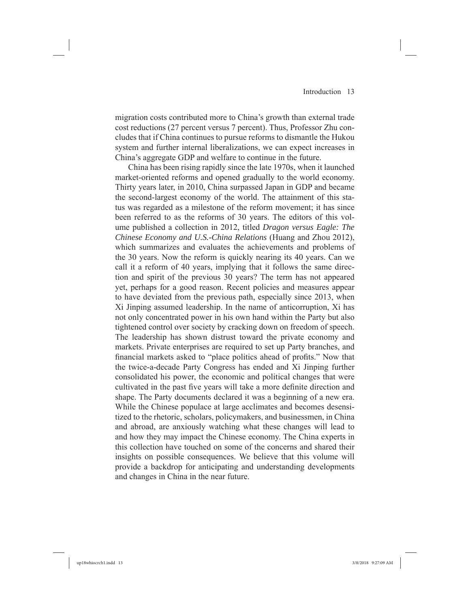migration costs contributed more to China's growth than external trade cost reductions (27 percent versus 7 percent). Thus, Professor Zhu concludes that if China continues to pursue reforms to dismantle the Hukou system and further internal liberalizations, we can expect increases in China's aggregate GDP and welfare to continue in the future.

China has been rising rapidly since the late 1970s, when it launched market-oriented reforms and opened gradually to the world economy. Thirty years later, in 2010, China surpassed Japan in GDP and became the second-largest economy of the world. The attainment of this status was regarded as a milestone of the reform movement; it has since been referred to as the reforms of 30 years. The editors of this volume published a collection in 2012, titled *Dragon versus Eagle: The Chinese Economy and U.S.-China Relations* (Huang and Zhou 2012), which summarizes and evaluates the achievements and problems of the 30 years. Now the reform is quickly nearing its 40 years. Can we call it a reform of 40 years, implying that it follows the same direction and spirit of the previous 30 years? The term has not appeared yet, perhaps for a good reason. Recent policies and measures appear to have deviated from the previous path, especially since 2013, when Xi Jinping assumed leadership. In the name of anticorruption, Xi has not only concentrated power in his own hand within the Party but also tightened control over society by cracking down on freedom of speech. The leadership has shown distrust toward the private economy and markets. Private enterprises are required to set up Party branches, and financial markets asked to "place politics ahead of profits." Now that the twice-a-decade Party Congress has ended and Xi Jinping further consolidated his power, the economic and political changes that were cultivated in the past five years will take a more definite direction and shape. The Party documents declared it was a beginning of a new era. While the Chinese populace at large acclimates and becomes desensitized to the rhetoric, scholars, policymakers, and businessmen, in China and abroad, are anxiously watching what these changes will lead to and how they may impact the Chinese economy. The China experts in this collection have touched on some of the concerns and shared their insights on possible consequences. We believe that this volume will provide a backdrop for anticipating and understanding developments and changes in China in the near future.